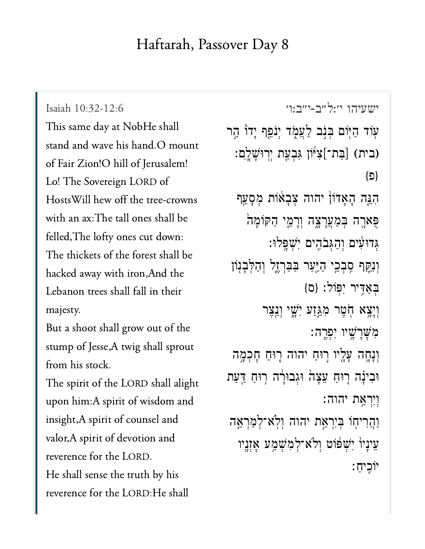## Haftarah, Passover Day 8

Isaiah 10:32-12:6 This same day at NobHe shall  $\overline{1}$   $\overline{1}$   $\overline{1}$   $\overline{1}$   $\overline{1}$   $\overline{1}$   $\overline{0}$ of Fair Zion!O hill of Jerusalem!  $H + T^{\dagger}$  c to text the tree Hosts Will hew off the tree-crowns with an ax: The tall ones shall be felled, The lofty ones cut down: hacked and the second and the second and the second with interest in the second with it is a second with in the<br>And the second term in the second with interest in the second with the second with the second with the second hacked away with iron, And the Lebanon trees shall fall in their  $\mathbf{B}$  show out of the shock shall grow out of the shock shall grow out of the shall grow out of the shall grow out of the shall grow out of the shall grow out of the shall grow out of the shall grow out of the shall gr

But a shoot shall grow out of the  $\overline{c}$ from his stock.

The spirit of the LORD shall alight upon him:A spirit of wisdom and insight,A spirit of counsel and valor, A spirit of devotion and reverence for the LORD. He shall sense the truth by his reverence for the LORD: He shall

[ישעיהו י׳:ל״ב-י״ב:ו׳](https://www.sefaria.org/Isaiah%2010:32-12:6) 10:32-12:6 Isaiah עִוֹד הַיְּוֹם בְּנָב לַעֲמֶד יְנֹפֵף יְדוֹ הַר בּת־]צִיּּוֹן גִּבְעַת יְרְוּשָׁלְֶם:) (בּת־ }פ{ ּהִגְּה הָאָדוֹן יהוה צִבְאוֹת מִסְעֵּף ַפְאַרֶה בְּמַעֲרָצֶה וְרָמֵי הַקּוֹמָה ְּג דּוִ֔ע ים ְו ַה ְּג ֹב ִ֖ה ים ִיְׁש ָּֽפ לּו׃ וְנִקֵּף סְּבְכֵי הַיֵּעַר בַּבַּרְזֶל וְהַלְּבְנְוֹ  $\{O\}$  בְאֲדֶיר יְפוֹל: וְיָצֵא חָֹטֵר מְגֵּזַע יְשֵׁי וְנֵצֵר **ּ**מְשֶׁרָשۭ֣יו יִפְרֱה וְנָחֱה עָלֶיו רַוּחַ יהוה רְוּחַ חָכְמֶה וּבִינָה רְוּחַ עֵצָה וּגִבוּרָה רְוּחַ הַעַת וִיִרְאָת יהוה: וַהֲרִיחָוֹ בְּיִרְאֲת יהוה וְלְא־לְמַרְאֵּה עֵינַיוֹ יִּשְׁפוֹט וְלֹא־לְמִשְׁמַַע אָזְנֻיו יֹוִֽכ יַח ׃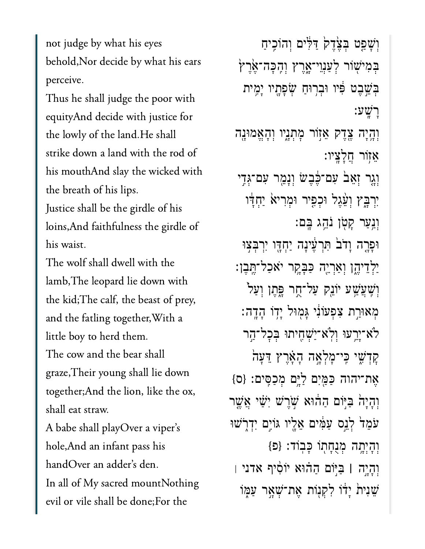not judge by what his eyes behold, Nor decide by what his ears perceive.

Thus he shall judge the poor with equityAnd decide with justice for the lowly of the land. He shall strike down a land with the rod of his mouthAnd slay the wicked with the breath of his lips. Justice shall be the girdle of his loins, And faithfulness the girdle of

his waist.

The wolf shall dwell with the lamb, The leopard lie down with the kid; The calf, the beast of prey, and the fatling together, With a little boy to herd them. The cow and the bear shall graze, Their young shall lie down together; And the lion, like the ox, shall eat straw.

A babe shall playOver a viper's hole, And an infant pass his handOver an adder's den. In all of My sacred mountNothing evil or vile shall be done;For the

וְשָׁפֵט בְּצָׂדֵק דַּלִּים וְהוֹכֵיחַ בְּמִישָׁוֹר לְעַנְוֵי־אָרֶץ וִהָכָּה־אֲרֵץ בִּשֵׁבֵט פִּׁיו וּבִרְוּחַ שִׂפָּתָיו יָמֶית רשע: וְהֵיָה צֵדֶק אֵזְוֹר מְתְנֵיו וְהָאֱמוּנֶה אָזור חֲלַצֵּיו: וְגֵר זָאֵבׂ עִם־כֶּבָשׂ וְנָמֵר עִם־גְּדֶי יִרְבָּץ וְעָׁגֵל וּכְפִיר וּמְרִיא יַחְדַּו וְנֵעַר קַטְן נֹהֵג בֵּם: וּפָרֶה וָדֹבׂ תִּרְעֵינָה יַחָדֶו יִרְבִּצְוּ יַלְדֵיהֵן וְאַרְיֵה כַּבָּקֵר יֹאכַל־תֵּבֵן: וְשָׁעֲשָׁע יוֹגֵק עַל־חֻר פֶּתֵן וְעַל ֿ מְאוּרֵת צְפִעוֹּנִי גַּמְוּל יַדְוֹ הָדָה: לא־יֵרֵעוּ וְלְא<sup>-</sup>יַשְׁחֶיתוּ בִּכָל־הַר קַדְשִׁי כֵּי־מַלְאֲה הָאֲרֵץ דֵעַה אֶת־יהוה כַּמַּיִם לַיֶּם מִכַסִּים: {ס} וְהַיָּהֹ בִּיּֽוֹם הַהוֹּא שָׁרֵשׁ יְשָׁי אֲשֱר עֹמֵדׂ לְגֵס עַמִּים אֲלֵיו גּוֹיֶם יִדְרָשׁוּ וְהָיְתֶה מְנֻחָתוֹ כַּבִוֹד: {פּ} וְהָיָה | בַּיּוֹם הַהוּא יוֹסִיף אדני | שֶׁנִית יַדו לִקְנִוֹת אֱת־שָׁאֵר עַמֶּוֹ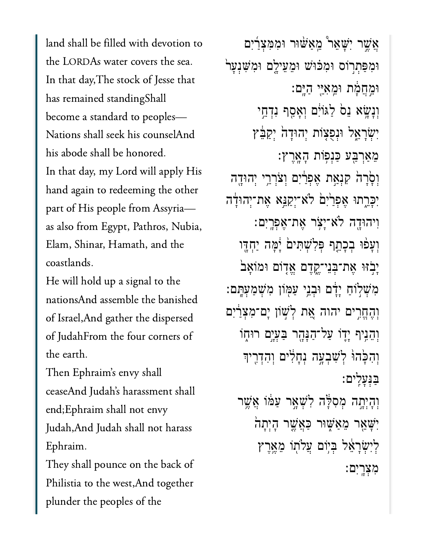land shall be filled with devotion to the LORDAs water covers the sea.  $\mathbf{r}$  d is the standing standing standing standing standing standing standing standing standing standing standing standing standing standing standing standing standing standing standing standing standing standing stand has remained standing Shall become a standard to peoples— Nations shall seek his counselAnd his abode shall be honored. In that day, my Lord will apply His part of  $\frac{1}{2}$  and  $\frac{1}{2}$  and  $\frac{1}{2}$  and  $\frac{1}{2}$  and  $\frac{1}{2}$  and  $\frac{1}{2}$  and  $\frac{1}{2}$  and  $\frac{1}{2}$  and  $\frac{1}{2}$  and  $\frac{1}{2}$  and  $\frac{1}{2}$  and  $\frac{1}{2}$  and  $\frac{1}{2}$  and  $\frac{1}{2}$  and  $\frac{1}{2}$  and  $\frac$ part of His people from Assyriaas also from Egypt, Pathros, Nubia, Elam, Shinar, Hamath, and the coastlands.

He will hold up a signal to the nationsAnd assemble the banished of Israel, And gather the dispersed  $CT = 1.1T$ the earth.

Then Ephraim's envy shall ceaseAnd Judah's harassment shall end;Ephraim shall not envy Judah, And Judah shall not harass  $\Gamma$  is the back of the back of the back of the back of the back of the back of the back of the back of the back of the back of the back of the back of the back of the back of the back of the back of the back of the back

Philistia to the west,And togetherPhilistia to the west, And together plunder the peoples of the

ָאֲשֶׁר יִשָׁאֵר *ּמֵאַ*ּשׁוּר וּמִמְצָרִים וּמִפָּתְרוֹס וּמִכּוּּשׁ וּמֵעֵילֵם וּמִשְׁנְעַר ּוֵ֣מֲחָ֔מת ּוֵֽמִאֵּ֖יי ַהָּֽים׃ וְנָשָׂא גֵם לַגּוֹיָם וְאָסַף נִדְחֵי יְשָׂרָאֱל וּנְפְצָוֹת יְהוּדָה יִקַבֶּ֫ץ ֵמַאְרַּ֖בע ַּכְנ֥פֹות ָהָֽאֶרץ׃ וְסָׂרָה<sup>ָ</sup> קִנְאַת אֶפְרַיִם וִצֹרְרֵי יִהוּדֵה יִפְרֵתוּ אֶפְרַיִּם לֹא־יִקַנֵּא אֶת־יְהוּדָה ִויהּוָ֖דה ֹלא־ָיֹ֥צר ֶאת־ֶאְפָֽרִים׃ וְעָפּוּ בִכְתֵף פִּלְ**שִׁתִּים** יָּפְה יַחָדֵּו ַיְבְׂוּ אֶת־בְּנֵי־קֶדֶם אֱדָוֹם וּמוֹאַב מִשְׁלְוֹחַ יַדָּם וּבְנֵי עַמְּוֹן מְ**שִׁמַעְהַם:** וְהֶחֱרִים יהוה אֵת לְשָׁוֹן יָם־מְצָרַיִם וְהֵנֵיף יָדֶוֹ עַל־הַנָּהֶר בַּעָיֵם רוּחָוֹ וְהָכָּהוּ לְשָׁבְעֶה וְחָלִים וְהִדְרֵיךְ ַּבְּנָעִֽלים׃ וְהָיְחָה מְסִלָּ֑ה לְּשָׁאֲר עַמּּׁוֹ אֲשֵׁר יִּשְׁאֵר מֵאַּשָּׁוּר כַּאֲשֶר הָיְתָה ַלִּיְשָׂרַאֵּל בְּיִּוֹם עֲלֹתוֹ מֵאֱרֵץ

ִמְצָֽרִים׃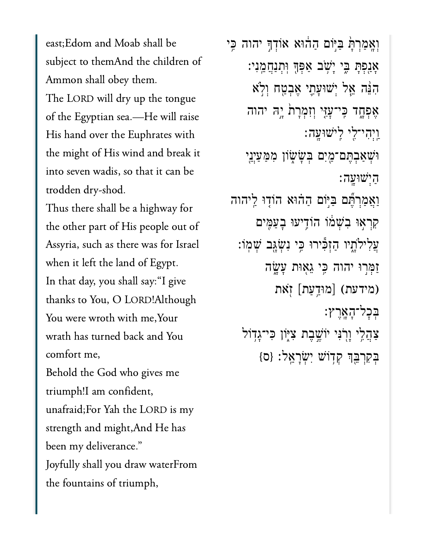east; Edom and Moab shall be Ammon shall obey them.Ammon shall obey them. The LORD will dry up the tongue of the Egyptian sea.—He will raise His hand over the Euphrates with the might of His wind and break it into seven wadis, so that it can be trodden dry-shod.

Thus there shall be a highway for  $\begin{array}{ccccc}\n1 & 1 & 0 \\
\end{array}$ Assyria, such as there was for Israel when it left the land of Egypt. In that day, you shall say: "I give thanks to You, O LORD!Although You were wroth with me, Your wrath has turned back and You comfort me, Behold the God who gives me triumph!I am confident,

unafraid;For Yah the LORD is my strength and might, And He has been my deliverance." Joyfully shall you draw waterFrom the fountains of triumph,

וְאֲמַרְתָּ֫ בַּיִּּֽוֹּם הַהֹוּא אוֹדְךָּ יהוה כֵּי אָנִפְּתָּ בֶּי יְשָׁב אַפְּךָּ וְתְנַחֲמֵנִי: ִהֵּ֨נה ֵ֧אל ְיׁשּוָעִ֛תי ֶאְבַ֖טח ְוֹ֣לא אֶפְחֶד כִּי־עָזֶי וְזִמְרָת יְה*ֶ יה*וה ַֽוְיִהי־ִ֖לי ִֽליׁשּוָֽעה׃ ּוֹּשָׁאַבְהֶם־מַיִּם בְּשָׂשָׂוֹן מִמַּעַיְנֵי ַהְיׁשּוָֽעה׃ וַאֲמַרְתֶּם בַּיִּּוֹם הַהֹוּא הוֹדִוּ לֵיהוה ַקְרָאוּ בִשָּׁמֹו הוֹדִיעוּ בָעַמֶּים ֲעִליֹלָ֑תיו ַהְזִּ֕כירּו ִּ֥כי ִנְׂשָּ֖גב ְׁשֽמֹו׃ ַזַּמְּרִוּ יהוה כִִּי גֵאָוּת עָ*ּ*שֳה יִ<br>זַמְּרִוּ יהוה כִּי גֵאָוּת עָ*עֳ*<br>מידעת) [מוּדַעַת] זְאֹת) ְּבׇכל־ָהָֽאֶרץ׃ ּצַהֲלֵי וָרְֽנִּי יוֹשֱבֶת צִיְּוֹן כִּי־גָדְוֹל ַבְּקִרְבֵּךְ קְדְוֹּשׁ יְשָׂרָאֱל: {ס